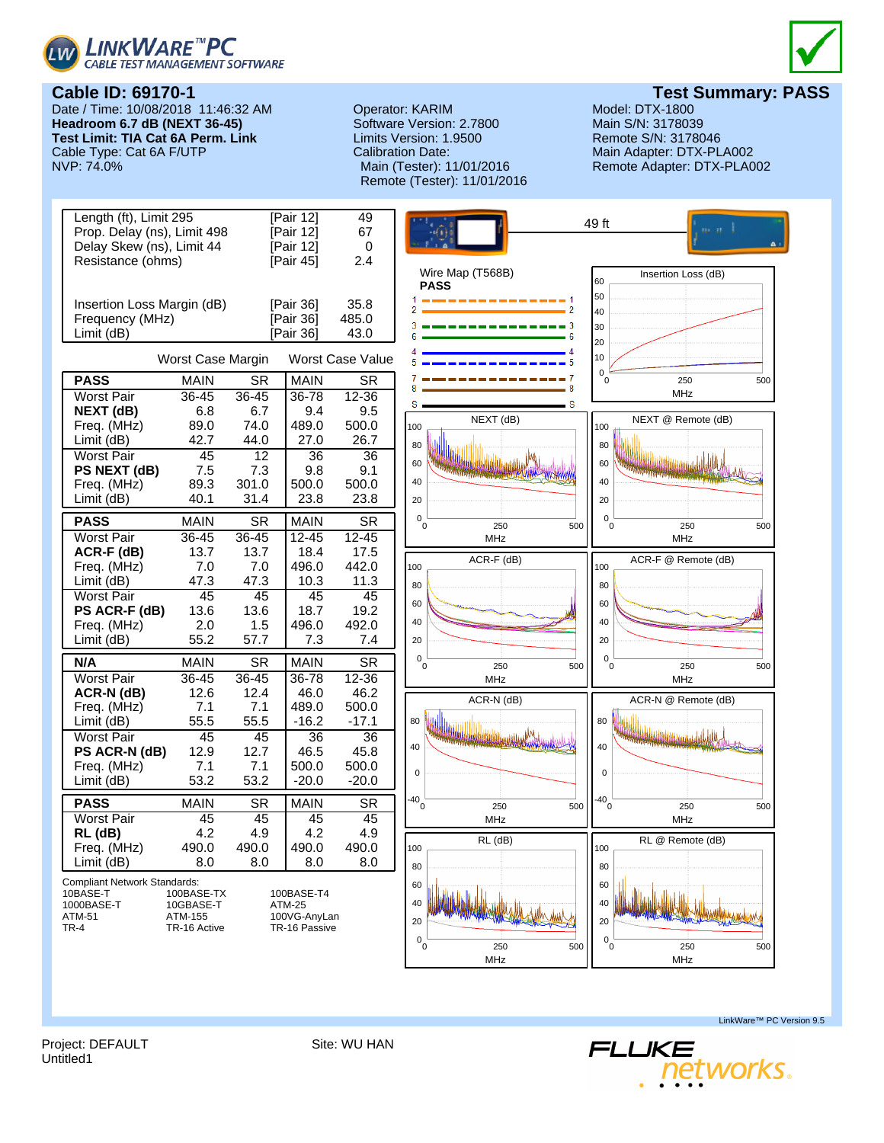



Date / Time: 10/08/2018 11:46:32 AM **Operator: KARIM Model: DTX-1800** Model: DTX-1800<br> **Headroom 6.7 dB (NEXT 36-45)** Software Version: 2.7800 Main S/N: 3178039 **Headroom 6.7 dB (NEXT 36-45) Test Limit: TIA Cat 6A Perm. Link** Limits Version: 1.9500 Remote S/N: 3178046 Cable Type: Cat 6A F/UTP Calibration Date: Main Adapter: DTX-PLA002<br>Main (Tester): 11/01/2016 Remote Adapter: DTX-PLA0

# Remote (Tester): 11/01/2016

**Cable ID: 69170-1 Test Summary: PASS**

Remote Adapter: DTX-PLA002



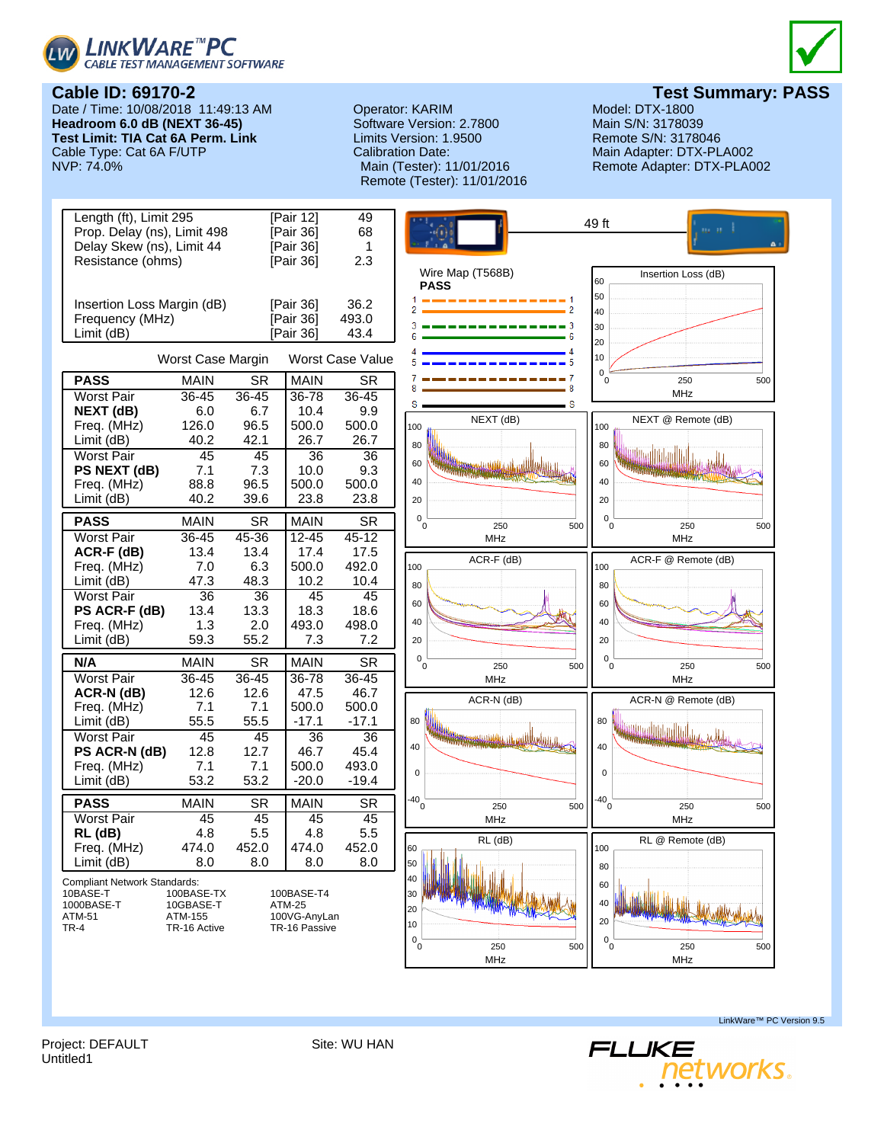



Date / Time: 10/08/2018 11:49:13 AM **Headroom 6.0 dB (NEXT 36-45) Test Limit: TIA Cat 6A Perm. Link** Cable Type: Cat 6A F/UTP<br>NVP: 74.0%

### Operator: KARIM Model: DTX-1800<br>
Software Version: 2.7800 Main S/N: 3178039 Software Version: 2.7800 Limits Version: 1.9500 Remote S/N: 3178046 Calibration Date: Main Adapter: DTX-PLA002 Remote (Tester): 11/01/2016



**Test Summary: PASS**<br>Model: DTX-1800

Remote Adapter: DTX-PLA002



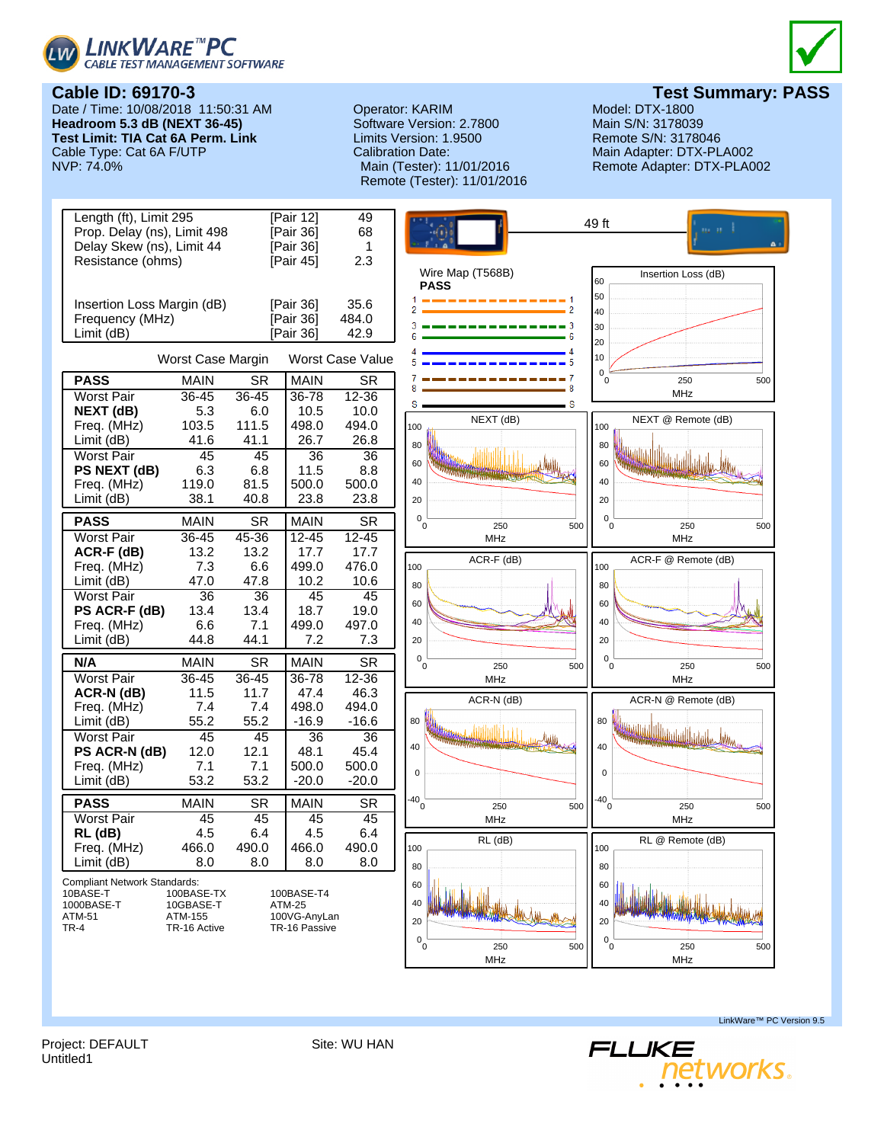



## **Test Summary: PASS**<br>Model: DTX-1800

**Cable ID: 69170-3** Date / Time: 10/08/2018 11:50:31 AM **Headroom 5.3 dB (NEXT 36-45) Test Limit: TIA Cat 6A Perm. Link** Cable Type: Cat 6A F/UTP<br>NVP: 74.0%

### Operator: KARIM Model: DTX-1800<br>
Software Version: 2.7800 Main S/N: 3178039 Software Version: 2.7800 Limits Version: 1.9500 Remote S/N: 3178046 Calibration Date: Main Adapter: DTX-PLA002 Remote (Tester): 11/01/2016

Remote Adapter: DTX-PLA002



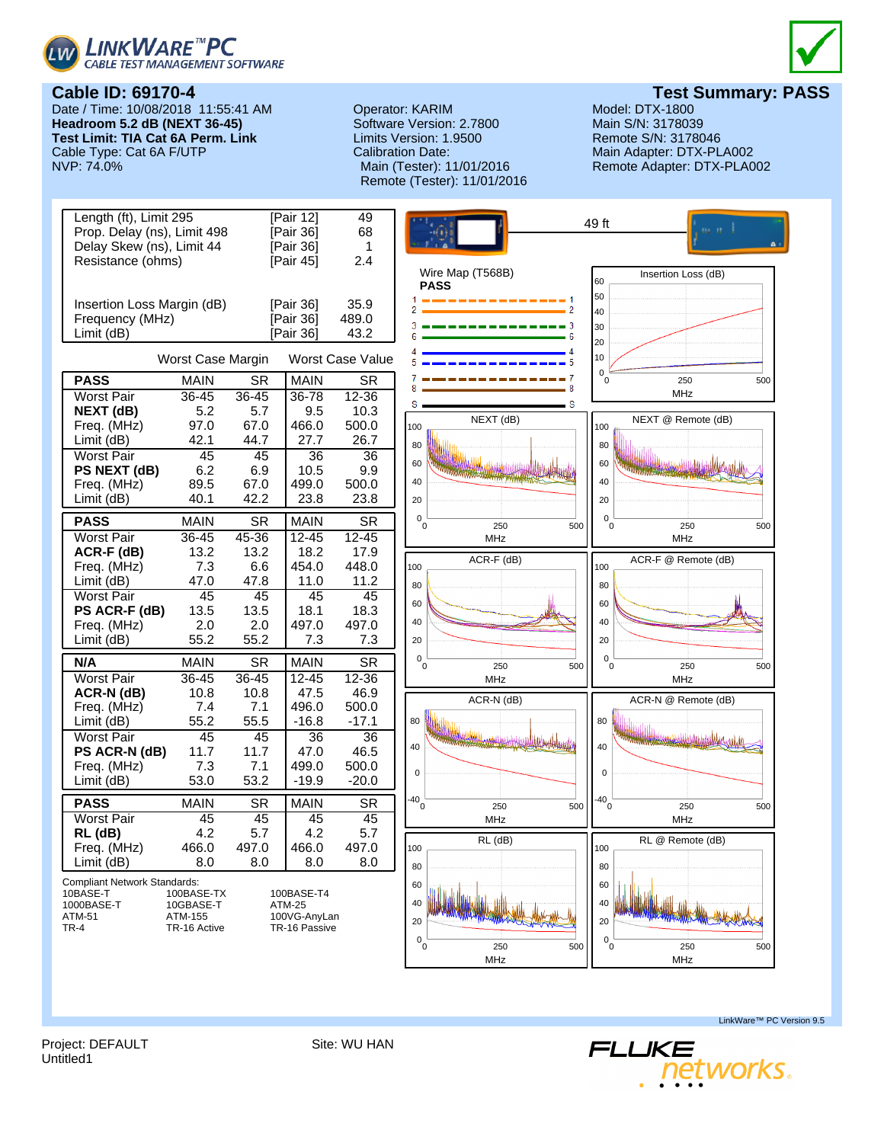



## **Cable ID: 69170-4**

Date / Time: 10/08/2018 11:55:41 AM **Headroom 5.2 dB (NEXT 36-45) Test Limit: TIA Cat 6A Perm. Link** Cable Type: Cat 6A F/UTP<br>NVP: 74.0%

### Operator: KARIM Model: DTX-1800<br>
Software Version: 2.7800 Main S/N: 3178039 Software Version: 2.7800 Limits Version: 1.9500 Remote S/N: 3178046 Calibration Date: Main Adapter: DTX-PLA002 Remote (Tester): 11/01/2016

**Test Summary: PASS**<br>Model: DTX-1800

Remote Adapter: DTX-PLA002



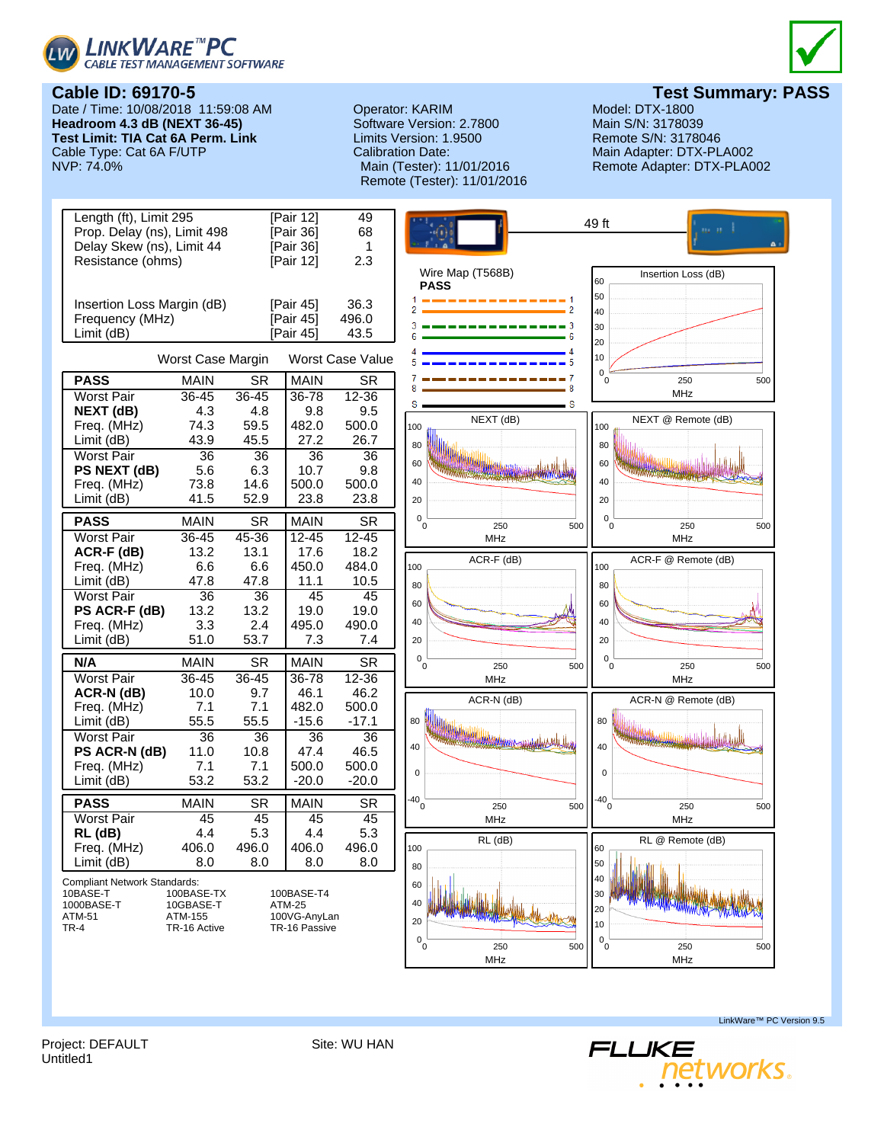



**Cable ID: 69170-5** Date / Time: 10/08/2018 11:59:08 AM **Headroom 4.3 dB (NEXT 36-45) Test Limit: TIA Cat 6A Perm. Link** Cable Type: Cat 6A F/UTP<br>NVP: 74.0%

Operator: KARIM Model: DTX-1800<br>
Software Version: 2.7800 Main S/N: 3178039 Software Version: 2.7800 Limits Version: 1.9500 Remote S/N: 3178046 Calibration Date: Main Adapter: DTX-PLA002 Remote (Tester): 11/01/2016

**Test Summary: PASS**<br>Model: DTX-1800 Remote Adapter: DTX-PLA002